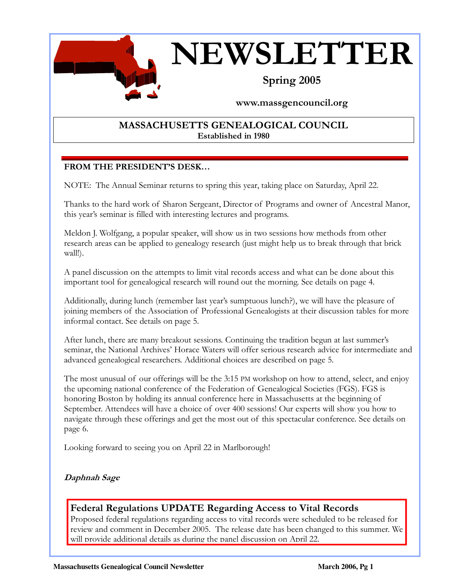

## Spring 2005

### www.massgencouncil.org

### MASSACHUSETTS GENEALOGICAL COUNCIL Established in 1980

### FROM THE PRESIDENT'S DESK…

 $\overline{a}$ 

NOTE: The Annual Seminar returns to spring this year, taking place on Saturday, April 22.

Thanks to the hard work of Sharon Sergeant, Director of Programs and owner of Ancestral Manor, this year's seminar is filled with interesting lectures and programs.

Meldon J. Wolfgang, a popular speaker, will show us in two sessions how methods from other research areas can be applied to genealogy research (just might help us to break through that brick wall!).

A panel discussion on the attempts to limit vital records access and what can be done about this important tool for genealogical research will round out the morning. See details on page 4.

Additionally, during lunch (remember last year's sumptuous lunch?), we will have the pleasure of joining members of the Association of Professional Genealogists at their discussion tables for more informal contact. See details on page 5.

After lunch, there are many breakout sessions. Continuing the tradition begun at last summer's seminar, the National Archives' Horace Waters will offer serious research advice for intermediate and advanced genealogical researchers. Additional choices are described on page 5.

The most unusual of our offerings will be the 3:15 PM workshop on how to attend, select, and enjoy the upcoming national conference of the Federation of Genealogical Societies (FGS). FGS is honoring Boston by holding its annual conference here in Massachusetts at the beginning of September. Attendees will have a choice of over 400 sessions! Our experts will show you how to navigate through these offerings and get the most out of this spectacular conference. See details on page 6.

Looking forward to seeing you on April 22 in Marlborough!

### Daphnah Sage

### Federal Regulations UPDATE Regarding Access to Vital Records

Proposed federal regulations regarding access to vital records were scheduled to be released for review and comment in December 2005. The release date has been changed to this summer. We will provide additional details as during the panel discussion on April 22.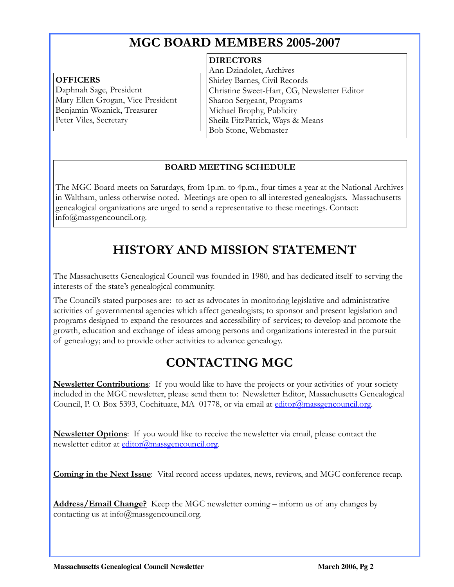## MGC BOARD MEMBERS 2005-2007

#### **OFFICERS**

 $\overline{a}$ 

Daphnah Sage, President Mary Ellen Grogan, Vice President Benjamin Woznick, Treasurer Peter Viles, Secretary

#### **DIRECTORS**

Ann Dzindolet, Archives Shirley Barnes, Civil Records Christine Sweet-Hart, CG, Newsletter Editor Sharon Sergeant, Programs Michael Brophy, Publicity Sheila FitzPatrick, Ways & Means Bob Stone, Webmaster

j

#### BOARD MEETING SCHEDULE

The MGC Board meets on Saturdays, from 1p.m. to 4p.m., four times a year at the National Archives in Waltham, unless otherwise noted. Meetings are open to all interested genealogists. Massachusetts genealogical organizations are urged to send a representative to these meetings. Contact: info@massgencouncil.org.

# HISTORY AND MISSION STATEMENT

The Massachusetts Genealogical Council was founded in 1980, and has dedicated itself to serving the interests of the state's genealogical community.

The Council's stated purposes are: to act as advocates in monitoring legislative and administrative activities of governmental agencies which affect genealogists; to sponsor and present legislation and programs designed to expand the resources and accessibility of services; to develop and promote the growth, education and exchange of ideas among persons and organizations interested in the pursuit of genealogy; and to provide other activities to advance genealogy.

# CONTACTING MGC

**Newsletter Contributions**: If you would like to have the projects or your activities of your society included in the MGC newsletter, please send them to: Newsletter Editor, Massachusetts Genealogical Council, P. O. Box 5393, Cochituate, MA 01778, or via email at editor@massgencouncil.org.

**Newsletter Options**: If you would like to receive the newsletter via email, please contact the newsletter editor at editor@massgencouncil.org.

**Coming in the Next Issue**: Vital record access updates, news, reviews, and MGC conference recap.

Address/Email Change? Keep the MGC newsletter coming – inform us of any changes by contacting us at info@massgencouncil.org.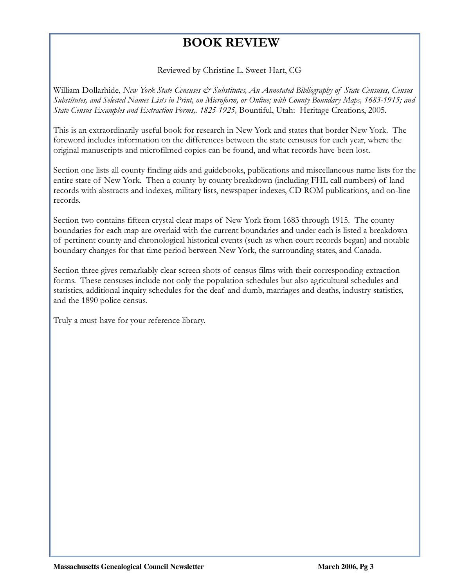## BOOK REVIEW

Reviewed by Christine L. Sweet-Hart, CG

William Dollarhide, New York State Censuses & Substitutes, An Annotated Bibliography of State Censuses, Census Substitutes, and Selected Names Lists in Print, on Microform, or Online; with County Boundary Maps, 1683-1915; and State Census Examples and Extraction Forms,. 1825-1925, Bountiful, Utah: Heritage Creations, 2005.

This is an extraordinarily useful book for research in New York and states that border New York. The foreword includes information on the differences between the state censuses for each year, where the original manuscripts and microfilmed copies can be found, and what records have been lost.

Section one lists all county finding aids and guidebooks, publications and miscellaneous name lists for the entire state of New York. Then a county by county breakdown (including FHL call numbers) of land records with abstracts and indexes, military lists, newspaper indexes, CD ROM publications, and on-line records.

Section two contains fifteen crystal clear maps of New York from 1683 through 1915. The county boundaries for each map are overlaid with the current boundaries and under each is listed a breakdown of pertinent county and chronological historical events (such as when court records began) and notable boundary changes for that time period between New York, the surrounding states, and Canada.

Section three gives remarkably clear screen shots of census films with their corresponding extraction forms. These censuses include not only the population schedules but also agricultural schedules and statistics, additional inquiry schedules for the deaf and dumb, marriages and deaths, industry statistics, and the 1890 police census.

Truly a must-have for your reference library.

 $\overline{a}$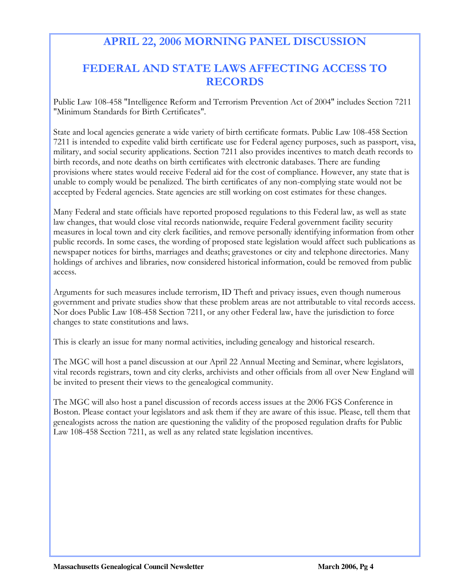## APRIL 22, 2006 MORNING PANEL DISCUSSION

### FEDERAL AND STATE LAWS AFFECTING ACCESS TO RECORDS

Public Law 108-458 "Intelligence Reform and Terrorism Prevention Act of 2004" includes Section 7211 "Minimum Standards for Birth Certificates".

State and local agencies generate a wide variety of birth certificate formats. Public Law 108-458 Section 7211 is intended to expedite valid birth certificate use for Federal agency purposes, such as passport, visa, military, and social security applications. Section 7211 also provides incentives to match death records to birth records, and note deaths on birth certificates with electronic databases. There are funding provisions where states would receive Federal aid for the cost of compliance. However, any state that is unable to comply would be penalized. The birth certificates of any non-complying state would not be accepted by Federal agencies. State agencies are still working on cost estimates for these changes.

Many Federal and state officials have reported proposed regulations to this Federal law, as well as state law changes, that would close vital records nationwide, require Federal government facility security measures in local town and city clerk facilities, and remove personally identifying information from other public records. In some cases, the wording of proposed state legislation would affect such publications as newspaper notices for births, marriages and deaths; gravestones or city and telephone directories. Many holdings of archives and libraries, now considered historical information, could be removed from public access.

Arguments for such measures include terrorism, ID Theft and privacy issues, even though numerous government and private studies show that these problem areas are not attributable to vital records access. Nor does Public Law 108-458 Section 7211, or any other Federal law, have the jurisdiction to force changes to state constitutions and laws.

This is clearly an issue for many normal activities, including genealogy and historical research.

The MGC will host a panel discussion at our April 22 Annual Meeting and Seminar, where legislators, vital records registrars, town and city clerks, archivists and other officials from all over New England will be invited to present their views to the genealogical community.

The MGC will also host a panel discussion of records access issues at the 2006 FGS Conference in Boston. Please contact your legislators and ask them if they are aware of this issue. Please, tell them that genealogists across the nation are questioning the validity of the proposed regulation drafts for Public Law 108-458 Section 7211, as well as any related state legislation incentives.

 $\overline{a}$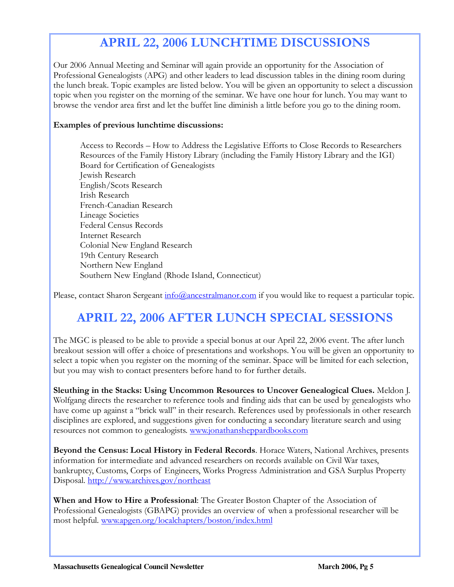## APRIL 22, 2006 LUNCHTIME DISCUSSIONS

Our 2006 Annual Meeting and Seminar will again provide an opportunity for the Association of Professional Genealogists (APG) and other leaders to lead discussion tables in the dining room during the lunch break. Topic examples are listed below. You will be given an opportunity to select a discussion topic when you register on the morning of the seminar. We have one hour for lunch. You may want to browse the vendor area first and let the buffet line diminish a little before you go to the dining room.

#### Examples of previous lunchtime discussions:

 $\overline{a}$ 

Access to Records – How to Address the Legislative Efforts to Close Records to Researchers Resources of the Family History Library (including the Family History Library and the IGI) Board for Certification of Genealogists Jewish Research English/Scots Research Irish Research French-Canadian Research Lineage Societies Federal Census Records Internet Research Colonial New England Research 19th Century Research Northern New England Southern New England (Rhode Island, Connecticut)

Please, contact Sharon Sergeant info@ancestralmanor.com if you would like to request a particular topic.

# APRIL 22, 2006 AFTER LUNCH SPECIAL SESSIONS

The MGC is pleased to be able to provide a special bonus at our April 22, 2006 event. The after lunch breakout session will offer a choice of presentations and workshops. You will be given an opportunity to select a topic when you register on the morning of the seminar. Space will be limited for each selection, but you may wish to contact presenters before hand to for further details.

Sleuthing in the Stacks: Using Uncommon Resources to Uncover Genealogical Clues. Meldon J. Wolfgang directs the researcher to reference tools and finding aids that can be used by genealogists who have come up against a "brick wall" in their research. References used by professionals in other research disciplines are explored, and suggestions given for conducting a secondary literature search and using resources not common to genealogists. www.jonathansheppardbooks.com

Beyond the Census: Local History in Federal Records. Horace Waters, National Archives, presents information for intermediate and advanced researchers on records available on Civil War taxes, bankruptcy, Customs, Corps of Engineers, Works Progress Administration and GSA Surplus Property Disposal. http://www.archives.gov/northeast

When and How to Hire a Professional: The Greater Boston Chapter of the Association of Professional Genealogists (GBAPG) provides an overview of when a professional researcher will be most helpful. www.apgen.org/localchapters/boston/index.html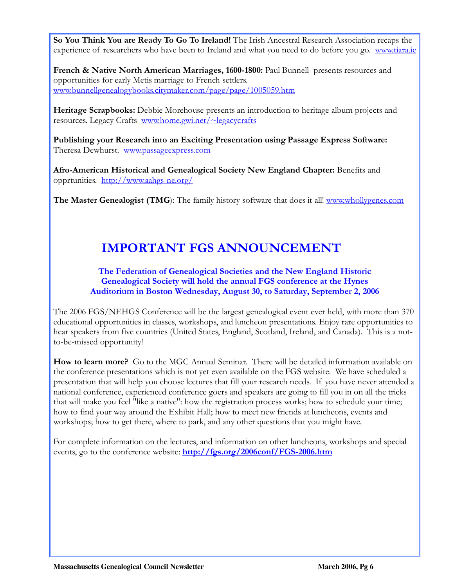So You Think You are Ready To Go To Ireland! The Irish Ancestral Research Association recaps the experience of researchers who have been to Ireland and what you need to do before you go. www.tiara.ie

French & Native North American Marriages, 1600-1800: Paul Bunnell presents resources and opportunities for early Metis marriage to French settlers. www.bunnellgenealogybooks.citymaker.com/page/page/1005059.htm

 $\overline{a}$ 

Heritage Scrapbooks: Debbie Morehouse presents an introduction to heritage album projects and resources. Legacy Crafts www.home.gwi.net/~legacycrafts

Publishing your Research into an Exciting Presentation using Passage Express Software: Theresa Dewhurst. www.passageexpress.com

Afro-American Historical and Genealogical Society New England Chapter: Benefits and opprtunities. http://www.aahgs-ne.org/

The Master Genealogist (TMG): The family history software that does it all! www.whollygenes.com

# IMPORTANT FGS ANNOUNCEMENT

#### The Federation of Genealogical Societies and the New England Historic Genealogical Society will hold the annual FGS conference at the Hynes Auditorium in Boston Wednesday, August 30, to Saturday, September 2, 2006

The 2006 FGS/NEHGS Conference will be the largest genealogical event ever held, with more than 370 educational opportunities in classes, workshops, and luncheon presentations. Enjoy rare opportunities to hear speakers from five countries (United States, England, Scotland, Ireland, and Canada). This is a notto-be-missed opportunity!

How to learn more? Go to the MGC Annual Seminar. There will be detailed information available on the conference presentations which is not yet even available on the FGS website. We have scheduled a presentation that will help you choose lectures that fill your research needs. If you have never attended a national conference, experienced conference goers and speakers are going to fill you in on all the tricks that will make you feel "like a native": how the registration process works; how to schedule your time; how to find your way around the Exhibit Hall; how to meet new friends at luncheons, events and workshops; how to get there, where to park, and any other questions that you might have.

For complete information on the lectures, and information on other luncheons, workshops and special events, go to the conference website: http://fgs.org/2006conf/FGS-2006.htm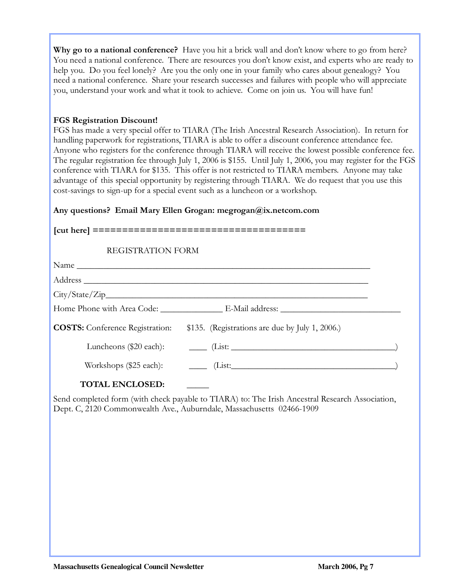Why go to a national conference? Have you hit a brick wall and don't know where to go from here? You need a national conference. There are resources you don't know exist, and experts who are ready to help you. Do you feel lonely? Are you the only one in your family who cares about genealogy? You need a national conference. Share your research successes and failures with people who will appreciate you, understand your work and what it took to achieve. Come on join us. You will have fun!

#### FGS Registration Discount!

 $\overline{a}$ 

FGS has made a very special offer to TIARA (The Irish Ancestral Research Association). In return for handling paperwork for registrations, TIARA is able to offer a discount conference attendance fee. Anyone who registers for the conference through TIARA will receive the lowest possible conference fee. The regular registration fee through July 1, 2006 is \$155. Until July 1, 2006, you may register for the FGS conference with TIARA for \$135. This offer is not restricted to TIARA members. Anyone may take advantage of this special opportunity by registering through TIARA. We do request that you use this cost-savings to sign-up for a special event such as a luncheon or a workshop.

#### Any questions? Email Mary Ellen Grogan: megrogan@ix.netcom.com

#### [cut here] ====================================

#### REGISTRATION FORM

| <b>COSTS:</b> Conference Registration: | \$135. (Registrations are due by July 1, 2006.) |  |
|----------------------------------------|-------------------------------------------------|--|
|                                        |                                                 |  |
|                                        |                                                 |  |
| <b>TOTH ENICI OCED</b>                 |                                                 |  |

TOTAL ENCLOSED:

Send completed form (with check payable to TIARA) to: The Irish Ancestral Research Association, Dept. C, 2120 Commonwealth Ave., Auburndale, Massachusetts 02466-1909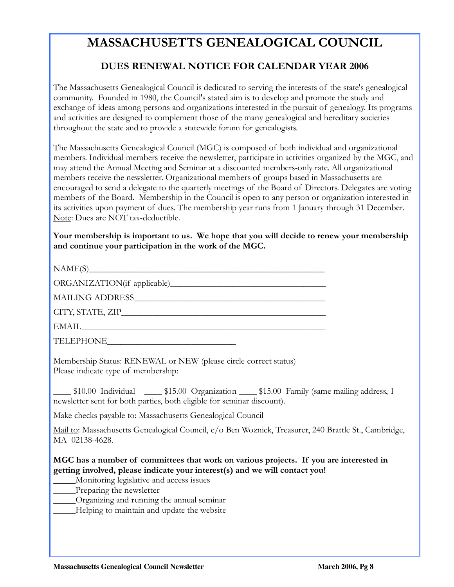## MASSACHUSETTS GENEALOGICAL COUNCIL

### DUES RENEWAL NOTICE FOR CALENDAR YEAR 2006

The Massachusetts Genealogical Council is dedicated to serving the interests of the state's genealogical community. Founded in 1980, the Council's stated aim is to develop and promote the study and exchange of ideas among persons and organizations interested in the pursuit of genealogy. Its programs and activities are designed to complement those of the many genealogical and hereditary societies throughout the state and to provide a statewide forum for genealogists.

The Massachusetts Genealogical Council (MGC) is composed of both individual and organizational members. Individual members receive the newsletter, participate in activities organized by the MGC, and may attend the Annual Meeting and Seminar at a discounted members-only rate. All organizational members receive the newsletter. Organizational members of groups based in Massachusetts are encouraged to send a delegate to the quarterly meetings of the Board of Directors. Delegates are voting members of the Board. Membership in the Council is open to any person or organization interested in its activities upon payment of dues. The membership year runs from 1 January through 31 December. Note: Dues are NOT tax-deductible.

Your membership is important to us. We hope that you will decide to renew your membership and continue your participation in the work of the MGC.

 $NAME(S)$ 

 $\overline{a}$ 

ORGANIZATION(if applicable)\_\_\_\_\_\_\_\_\_\_\_\_\_\_\_\_\_\_\_\_\_\_\_\_\_\_\_\_\_\_\_\_\_\_\_

MAILING ADDRESS\_\_\_\_\_\_\_\_\_\_\_\_\_\_\_\_\_\_\_\_\_\_\_\_\_\_\_\_\_\_\_\_\_\_\_\_\_\_\_\_\_\_\_

CITY, STATE, ZIP\_\_\_\_\_\_\_\_\_\_\_\_\_\_\_\_\_\_\_\_\_\_\_\_\_\_\_\_\_\_\_\_\_\_\_\_\_\_\_\_\_\_\_\_\_\_

 $\text{EMAIL}$ 

TELEPHONE

Membership Status: RENEWAL or NEW (please circle correct status) Please indicate type of membership:

\_\_\_\_ \$10.00 Individual \_\_\_\_ \$15.00 Organization \_\_\_\_ \$15.00 Family (same mailing address, 1 newsletter sent for both parties, both eligible for seminar discount).

Make checks payable to: Massachusetts Genealogical Council

Mail to: Massachusetts Genealogical Council, c/o Ben Woznick, Treasurer, 240 Brattle St., Cambridge, MA 02138-4628.

#### MGC has a number of committees that work on various projects. If you are interested in getting involved, please indicate your interest(s) and we will contact you!

- \_\_\_\_\_Monitoring legislative and access issues
- Preparing the newsletter
- \_\_\_\_\_Organizing and running the annual seminar
- \_\_\_\_\_Helping to maintain and update the website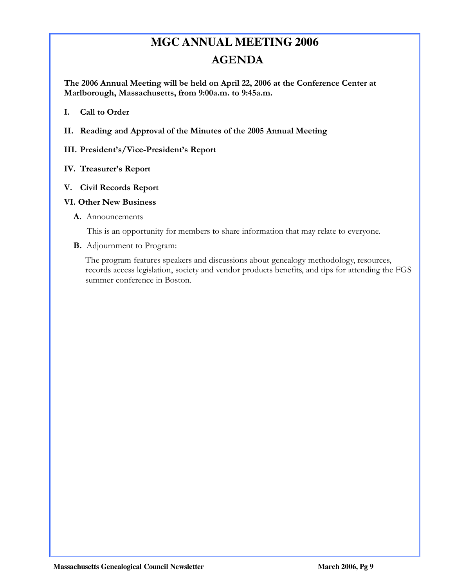# **MGC ANNUAL MEETING 2006**  AGENDA

The 2006 Annual Meeting will be held on April 22, 2006 at the Conference Center at Marlborough, Massachusetts, from 9:00a.m. to 9:45a.m.

I. Call to Order

 $\overline{a}$ 

II. Reading and Approval of the Minutes of the 2005 Annual Meeting

#### III. President's/Vice-President's Report

IV. Treasurer's Report

#### V. Civil Records Report

#### VI. Other New Business

A. Announcements

This is an opportunity for members to share information that may relate to everyone.

B. Adjournment to Program:

The program features speakers and discussions about genealogy methodology, resources, records access legislation, society and vendor products benefits, and tips for attending the FGS summer conference in Boston.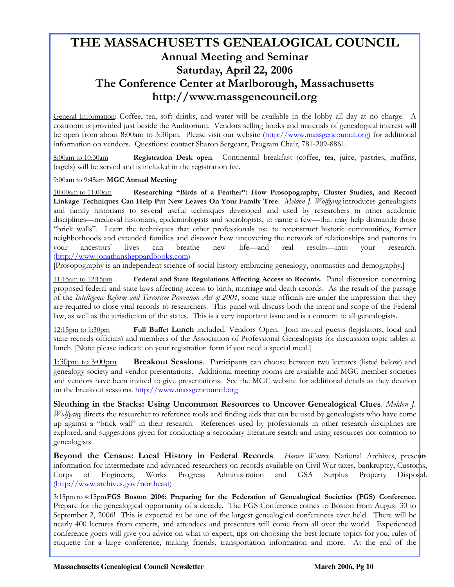## THE MASSACHUSETTS GENEALOGICAL COUNCIL Annual Meeting and Seminar Saturday, April 22, 2006 The Conference Center at Marlborough, Massachusetts http://www.massgencouncil.org

General Information: Coffee, tea, soft drinks, and water will be available in the lobby all day at no charge. A coatroom is provided just beside the Auditorium. Vendors selling books and materials of genealogical interest will be open from about 8:00am to 3:30pm. Please visit our website (http://www.massgencouncil.org) for additional information on vendors. Questions: contact Sharon Sergeant, Program Chair, 781-209-8861.

8:00am to 10:30am Registration Desk open. Continental breakfast (coffee, tea, juice, pastries, muffins, bagels) will be served and is included in the registration fee.

#### 9:00am to 9:45am MGC Annual Meeting

 $\overline{a}$ 

10:00am to 11:00amResearching "Birds of a Feather": How Prosopography, Cluster Studies, and Record Linkage Techniques Can Help Put New Leaves On Your Family Tree. Meldon J. Wolfgang introduces genealogists and family historians to several useful techniques developed and used by researchers in other academic disciplines—medieval historians, epidemiologists and sociologists, to name a few—that may help dismantle those "brick walls". Learn the techniques that other professionals use to reconstruct historic communities, former neighborhoods and extended families and discover how uncovering the network of relationships and patterns in your ancestors' lives can breathe new life—and real results—into your research. (http://www.jonathansheppardbooks.com)

[Prosopography is an independent science of social history embracing genealogy, onomastics and demography.]

11:15am to 12:15pm Federal and State Regulations Affecting Access to Records. Panel discussion concerning proposed federal and state laws affecting access to birth, marriage and death records. As the result of the passage of the Intelligence Reform and Terrorism Prevention Act of 2004, some state officials are under the impression that they are required to close vital records to researchers. This panel will discuss both the intent and scope of the Federal law, as well as the jurisdiction of the states. This is a very important issue and is a concern to all genealogists.

12:15pm to 1:30pm Full Buffet Lunch included. Vendors Open. Join invited guests (legislators, local and state records officials) and members of the Association of Professional Genealogists for discussion topic tables at lunch. [Note: please indicate on your registration form if you need a special meal.]

1:30pm to 3:00pm Breakout Sessions. Participants can choose between two lectures (listed below) and genealogy society and vendor presentations. Additional meeting rooms are available and MGC member societies and vendors have been invited to give presentations. See the MGC website for additional details as they develop on the breakout sessions. http://www.massgencouncil.org

Sleuthing in the Stacks: Using Uncommon Resources to Uncover Genealogical Clues. Meldon J.  $W$ olfgang directs the researcher to reference tools and finding aids that can be used by genealogists who have come up against a "brick wall" in their research. References used by professionals in other research disciplines are explored, and suggestions given for conducting a secondary literature search and using resources not common to genealogists.

Beyond the Census: Local History in Federal Records. Horace Waters, National Archives, presents information for intermediate and advanced researchers on records available on Civil War taxes, bankruptcy, Customs, Corps of Engineers, Works Progress Administration and GSA Surplus Property Disposal. (http://www.archives.gov/northeast)

3:15pm to 4:15pm FGS Boston 2006: Preparing for the Federation of Genealogical Societies (FGS) Conference. Prepare for the genealogical opportunity of a decade. The FGS Conference comes to Boston from August 30 to September 2, 2006! This is expected to be one of the largest genealogical conferences ever held. There will be nearly 400 lectures from experts, and attendees and presenters will come from all over the world. Experienced conference goers will give you advice on what to expect, tips on choosing the best lecture topics for you, rules of etiquette for a large conference, making friends, transportation information and more. At the end of the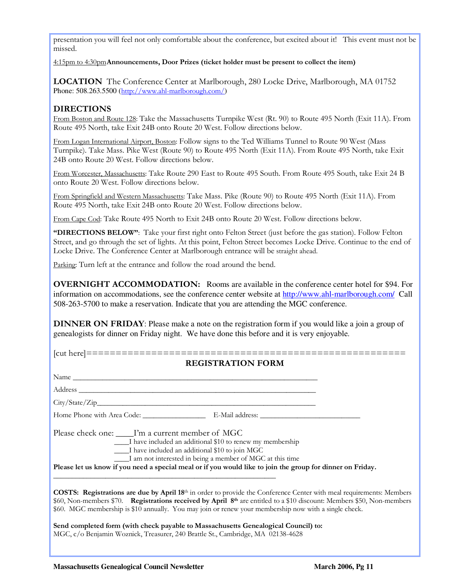presentation you will feel not only comfortable about the conference, but excited about it! This event must not be missed.

4:15pm to 4:30pmAnnouncements, Door Prizes (ticket holder must be present to collect the item)

LOCATION The Conference Center at Marlborough, 280 Locke Drive, Marlborough, MA 01752 Phone: 508.263.5500 (http://www.ahl-marlborough.com/)

#### DIRECTIONS

 $\overline{a}$ 

From Boston and Route 128: Take the Massachusetts Turnpike West (Rt. 90) to Route 495 North (Exit 11A). From Route 495 North, take Exit 24B onto Route 20 West. Follow directions below.

From Logan International Airport, Boston: Follow signs to the Ted Williams Tunnel to Route 90 West (Mass Turnpike). Take Mass. Pike West (Route 90) to Route 495 North (Exit 11A). From Route 495 North, take Exit 24B onto Route 20 West. Follow directions below.

From Worcester, Massachusetts: Take Route 290 East to Route 495 South. From Route 495 South, take Exit 24 B onto Route 20 West. Follow directions below.

From Springfield and Western Massachusetts: Take Mass. Pike (Route 90) to Route 495 North (Exit 11A). From Route 495 North, take Exit 24B onto Route 20 West. Follow directions below.

From Cape Cod: Take Route 495 North to Exit 24B onto Route 20 West. Follow directions below.

"DIRECTIONS BELOW": Take your first right onto Felton Street (just before the gas station). Follow Felton Street, and go through the set of lights. At this point, Felton Street becomes Locke Drive. Continue to the end of Locke Drive. The Conference Center at Marlborough entrance will be straight ahead.

Parking: Turn left at the entrance and follow the road around the bend.

OVERNIGHT ACCOMMODATION:Rooms are available in the conference center hotel for \$94. For information on accommodations, see the conference center website at http://www.ahl-marlborough.com/ Call 508-263-5700 to make a reservation. Indicate that you are attending the MGC conference.

DINNER ON FRIDAY: Please make a note on the registration form if you would like a join a group of genealogists for dinner on Friday night. We have done this before and it is very enjoyable.

| <b>REGISTRATION FORM</b>                                                                                                                                                                                                                                                                                                                                                        |
|---------------------------------------------------------------------------------------------------------------------------------------------------------------------------------------------------------------------------------------------------------------------------------------------------------------------------------------------------------------------------------|
|                                                                                                                                                                                                                                                                                                                                                                                 |
|                                                                                                                                                                                                                                                                                                                                                                                 |
|                                                                                                                                                                                                                                                                                                                                                                                 |
|                                                                                                                                                                                                                                                                                                                                                                                 |
| Please check one: I'm a current member of MGC<br>I have included an additional \$10 to renew my membership<br>I have included an additional \$10 to join MGC<br>I am not interested in being a member of MGC at this time                                                                                                                                                       |
| Please let us know if you need a special meal or if you would like to join the group for dinner on Friday.                                                                                                                                                                                                                                                                      |
| COSTS: Registrations are due by April 18 <sup>th</sup> in order to provide the Conference Center with meal requirements: Members<br>\$60, Non-members \$70. Registrations received by April 8 <sup>th</sup> are entitled to a \$10 discount: Members \$50, Non-members<br>\$60. MGC membership is \$10 annually. You may join or renew your membership now with a single check. |
| Send completed form (with check payable to Massachusetts Genealogical Council) to:<br>MGC, c/o Benjamin Woznick, Treasurer, 240 Brattle St., Cambridge, MA 02138-4628                                                                                                                                                                                                           |
|                                                                                                                                                                                                                                                                                                                                                                                 |